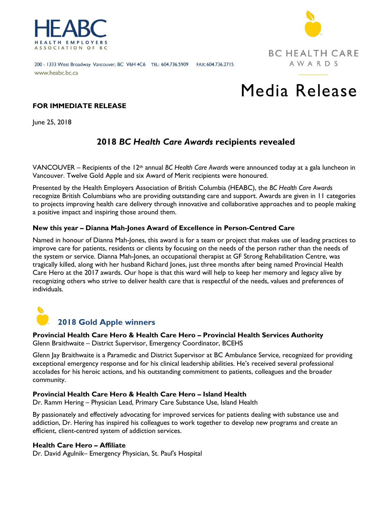



#### 200 - 1333 West Broadway Vancouver, BC V6H 4C6 TEL: 604.736.5909 FAX: 604.736.2715 www.heabc.bc.ca

# Media Release

# **FOR IMMEDIATE RELEASE**

June 25, 2018

# **2018** *BC Health Care Awards* **recipients revealed**

VANCOUVER – Recipients of the 12th annual *BC Health Care Awards* were announced today at a gala luncheon in Vancouver. Twelve Gold Apple and six Award of Merit recipients were honoured.

Presented by the Health Employers Association of British Columbia (HEABC), the *BC Health Care Awards*  recognize British Columbians who are providing outstanding care and support. Awards are given in 11 categories to projects improving health care delivery through innovative and collaborative approaches and to people making a positive impact and inspiring those around them.

## **New this year – Dianna Mah-Jones Award of Excellence in Person-Centred Care**

Named in honour of Dianna Mah-Jones, this award is for a team or project that makes use of leading practices to improve care for patients, residents or clients by focusing on the needs of the person rather than the needs of the system or service. Dianna Mah-Jones, an occupational therapist at GF Strong Rehabilitation Centre, was tragically killed, along with her husband Richard Jones, just three months after being named Provincial Health Care Hero at the 2017 awards. Our hope is that this ward will help to keep her memory and legacy alive by recognizing others who strive to deliver health care that is respectful of the needs, values and preferences of individuals.



#### **Provincial Health Care Hero & Health Care Hero – Provincial Health Services Authority** Glenn Braithwaite – District Supervisor, Emergency Coordinator, BCEHS

Glenn Jay Braithwaite is a Paramedic and District Supervisor at BC Ambulance Service, recognized for providing exceptional emergency response and for his clinical leadership abilities. He's received several professional accolades for his heroic actions, and his outstanding commitment to patients, colleagues and the broader community.

# **Provincial Health Care Hero & Health Care Hero – Island Health**

Dr. Ramm Hering – Physician Lead, Primary Care Substance Use, Island Health

By passionately and effectively advocating for improved services for patients dealing with substance use and addiction, Dr. Hering has inspired his colleagues to work together to develop new programs and create an efficient, client-centred system of addiction services.

#### **Health Care Hero – Affiliate**

Dr. David Agulnik– Emergency Physician, St. Paul's Hospital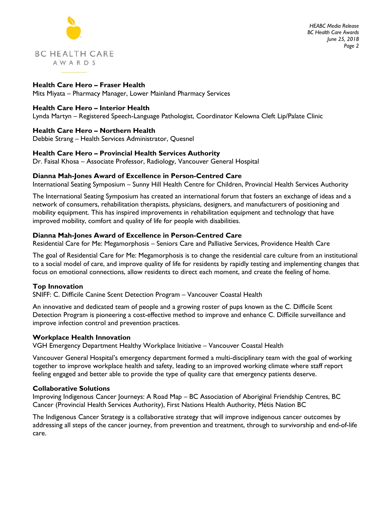

*HEABC Media Release BC Health Care Awards June 25, 2018 Page 2*

**Health Care Hero – Fraser Health** Mits Miyata – Pharmacy Manager, Lower Mainland Pharmacy Services

## **Health Care Hero – Interior Health**

Lynda Martyn – Registered Speech-Language Pathologist, Coordinator Kelowna Cleft Lip/Palate Clinic

## **Health Care Hero – Northern Health**

Debbie Strang – Health Services Administrator, Quesnel

## **Health Care Hero – Provincial Health Services Authority**

Dr. Faisal Khosa – Associate Professor, Radiology, Vancouver General Hospital

## **Dianna Mah-Jones Award of Excellence in Person-Centred Care**

International Seating Symposium – Sunny Hill Health Centre for Children, Provincial Health Services Authority

The International Seating Symposium has created an international forum that fosters an exchange of ideas and a network of consumers, rehabilitation therapists, physicians, designers, and manufacturers of positioning and mobility equipment. This has inspired improvements in rehabilitation equipment and technology that have improved mobility, comfort and quality of life for people with disabilities.

## **Dianna Mah-Jones Award of Excellence in Person-Centred Care**

Residential Care for Me: Megamorphosis – Seniors Care and Palliative Services, Providence Health Care

The goal of Residential Care for Me: Megamorphosis is to change the residential care culture from an institutional to a social model of care, and improve quality of life for residents by rapidly testing and implementing changes that focus on emotional connections, allow residents to direct each moment, and create the feeling of home.

#### **Top Innovation**

SNIFF: C. Difficile Canine Scent Detection Program – Vancouver Coastal Health

An innovative and dedicated team of people and a growing roster of pups known as the C. Difficile Scent Detection Program is pioneering a cost-effective method to improve and enhance C. Difficile surveillance and improve infection control and prevention practices.

#### **Workplace Health Innovation**

VGH Emergency Department Healthy Workplace Initiative – Vancouver Coastal Health

Vancouver General Hospital's emergency department formed a multi-disciplinary team with the goal of working together to improve workplace health and safety, leading to an improved working climate where staff report feeling engaged and better able to provide the type of quality care that emergency patients deserve.

#### **Collaborative Solutions**

Improving Indigenous Cancer Journeys: A Road Map – BC Association of Aboriginal Friendship Centres, BC Cancer (Provincial Health Services Authority), First Nations Health Authority, Métis Nation BC

The Indigenous Cancer Strategy is a collaborative strategy that will improve indigenous cancer outcomes by addressing all steps of the cancer journey, from prevention and treatment, through to survivorship and end-of-life care.